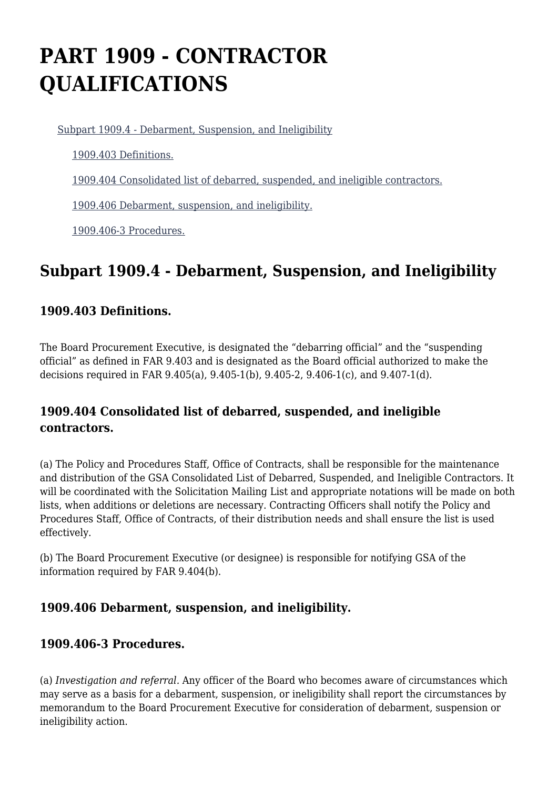# **PART 1909 - CONTRACTOR QUALIFICATIONS**

[Subpart 1909.4 - Debarment, Suspension, and Ineligibility](https://www.acquisition.gov/%5Brp:link:iaar-part-1909%5D#Subpart_1909_4_T48_6052661)

[1909.403 Definitions.](https://www.acquisition.gov/%5Brp:link:iaar-part-1909%5D#Section_1909_403_T48_605266111)

[1909.404 Consolidated list of debarred, suspended, and ineligible contractors.](https://www.acquisition.gov/%5Brp:link:iaar-part-1909%5D#Section_1909_404_T48_605266112)

[1909.406 Debarment, suspension, and ineligibility.](https://www.acquisition.gov/%5Brp:link:iaar-part-1909%5D#Section_1909_406_T48_605266113)

[1909.406-3 Procedures.](https://www.acquisition.gov/%5Brp:link:iaar-part-1909%5D#Section_1909_406_3_T48_605266114)

# **Subpart 1909.4 - Debarment, Suspension, and Ineligibility**

### **1909.403 Definitions.**

The Board Procurement Executive, is designated the "debarring official" and the "suspending official" as defined in FAR 9.403 and is designated as the Board official authorized to make the decisions required in FAR 9.405(a), 9.405-1(b), 9.405-2, 9.406-1(c), and 9.407-1(d).

## **1909.404 Consolidated list of debarred, suspended, and ineligible contractors.**

(a) The Policy and Procedures Staff, Office of Contracts, shall be responsible for the maintenance and distribution of the GSA Consolidated List of Debarred, Suspended, and Ineligible Contractors. It will be coordinated with the Solicitation Mailing List and appropriate notations will be made on both lists, when additions or deletions are necessary. Contracting Officers shall notify the Policy and Procedures Staff, Office of Contracts, of their distribution needs and shall ensure the list is used effectively.

(b) The Board Procurement Executive (or designee) is responsible for notifying GSA of the information required by FAR 9.404(b).

### **1909.406 Debarment, suspension, and ineligibility.**

#### **1909.406-3 Procedures.**

(a) *Investigation and referral.* Any officer of the Board who becomes aware of circumstances which may serve as a basis for a debarment, suspension, or ineligibility shall report the circumstances by memorandum to the Board Procurement Executive for consideration of debarment, suspension or ineligibility action.